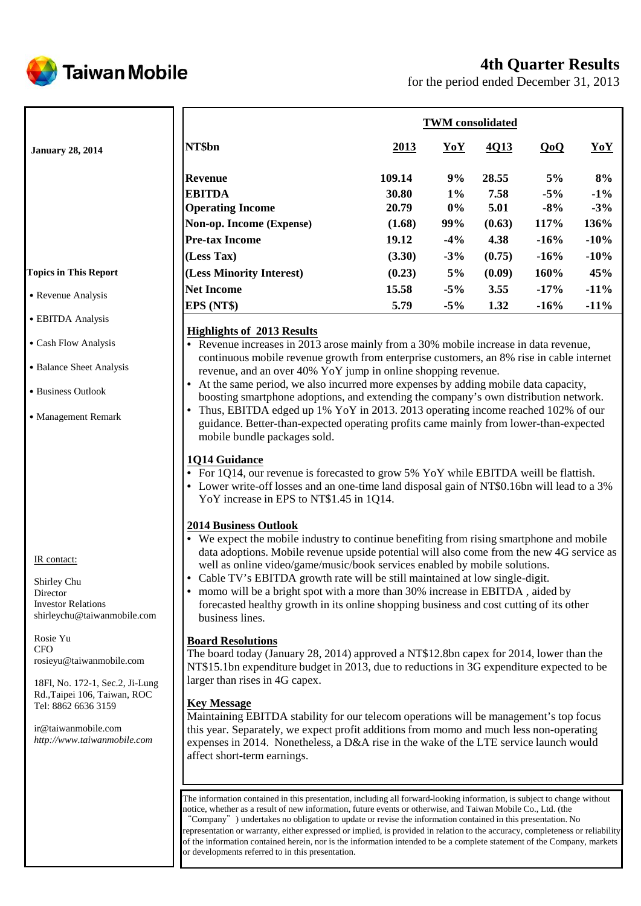

## **4th Quarter Results**

for the period ended December 31, 2013

|                              | <b>TWM</b> consolidated           |        |                            |        |        |        |  |
|------------------------------|-----------------------------------|--------|----------------------------|--------|--------|--------|--|
| <b>January 28, 2014</b>      | NT\$bn                            | 2013   | $\underline{\mathbf{YoY}}$ | 4Q13   | QoQ    | YoY    |  |
|                              | <b>Revenue</b>                    | 109.14 | 9%                         | 28.55  | 5%     | 8%     |  |
|                              | <b>EBITDA</b>                     | 30.80  | $1\%$                      | 7.58   | $-5%$  | $-1\%$ |  |
|                              | <b>Operating Income</b>           | 20.79  | $0\%$                      | 5.01   | $-8%$  | $-3\%$ |  |
|                              | Non-op. Income (Expense)          | (1.68) | 99%                        | (0.63) | 117%   | 136%   |  |
|                              | <b>Pre-tax Income</b>             | 19.12  | $-4%$                      | 4.38   | $-16%$ | $-10%$ |  |
|                              | (Less Tax)                        | (3.30) | $-3%$                      | (0.75) | $-16%$ | $-10%$ |  |
| <b>Topics in This Report</b> | (Less Minority Interest)          | (0.23) | 5%                         | (0.09) | 160%   | 45%    |  |
|                              | <b>Net Income</b>                 | 15.58  | $-5%$                      | 3.55   | $-17%$ | $-11%$ |  |
| • Revenue Analysis           | EPS (NT\$)                        | 5.79   | $-5%$                      | 1.32   | $-16%$ | $-11%$ |  |
| • EBITDA Analysis            | <b>Highlights of 2013 Results</b> |        |                            |        |        |        |  |

• Revenue increases in 2013 arose mainly from a 30% mobile increase in data revenue, continuous mobile revenue growth from enterprise customers, an 8% rise in cable internet revenue, and an over 40% YoY jump in online shopping revenue.

• At the same period, we also incurred more expenses by adding mobile data capacity, boosting smartphone adoptions, and extending the company's own distribution network.

• Thus, EBITDA edged up 1% YoY in 2013. 2013 operating income reached 102% of our guidance. Better-than-expected operating profits came mainly from lower-than-expected mobile bundle packages sold.

## **1Q14 Guidance**

- For 1Q14, our revenue is forecasted to grow 5% YoY while EBITDA weill be flattish.
- Lower write-off losses and an one-time land disposal gain of NT\$0.16bn will lead to a 3% YoY increase in EPS to NT\$1.45 in 1Q14.

## **2014 Business Outlook**

- We expect the mobile industry to continue benefiting from rising smartphone and mobile data adoptions. Mobile revenue upside potential will also come from the new 4G service as well as online video/game/music/book services enabled by mobile solutions.
- Cable TV's EBITDA growth rate will be still maintained at low single-digit.
- momo will be a bright spot with a more than 30% increase in EBITDA , aided by forecasted healthy growth in its online shopping business and cost cutting of its other business lines.

## **Board Resolutions**

The board today (January 28, 2014) approved a NT\$12.8bn capex for 2014, lower than the NT\$15.1bn expenditure budget in 2013, due to reductions in 3G expenditure expected to be larger than rises in 4G capex.

## **Key Message**

Maintaining EBITDA stability for our telecom operations will be management's top focus this year. Separately, we expect profit additions from momo and much less non-operating expenses in 2014. Nonetheless, a D&A rise in the wake of the LTE service launch would affect short-term earnings.

The information contained in this presentation, including all forward-looking information, is subject to change without notice, whether as a result of new information, future events or otherwise, and Taiwan Mobile Co., Ltd. (the "Company") undertakes no obligation to update or revise the information contained in this presentation. No representation or warranty, either expressed or implied, is provided in relation to the accuracy, completeness or reliability of the information contained herein, nor is the information intended to be a complete statement of the Company, markets or developments referred to in this presentation.

IR contact:

˙Cash Flow Analysis

• Business Outlook

˙Management Remark

˙Balance Sheet Analysis

Shirley Chu **Director** Investor Relations shirleychu@taiwanmobile.com

Rosie Yu **CFO** rosieyu@taiwanmobile.com

18Fl, No. 172-1, Sec.2, Ji-Lung Rd.,Taipei 106, Taiwan, ROC Tel: 8862 6636 3159

ir@taiwanmobile.com *http://www.taiwanmobile.com*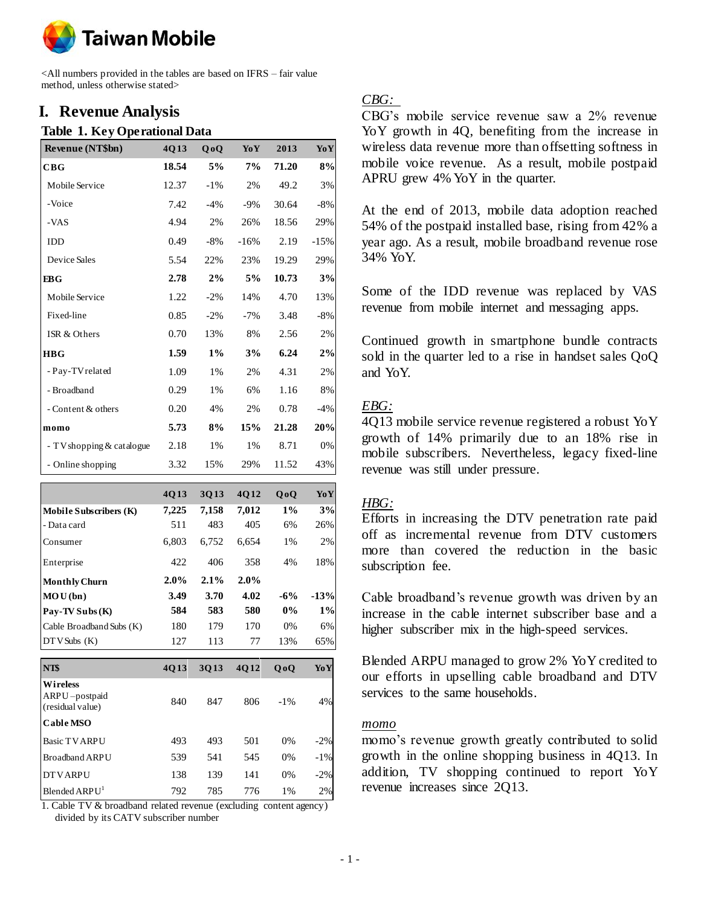

<All numbers provided in the tables are based on IFRS – fair value method, unless otherwise stated>

## **I. Revenue Analysis**

#### **Table 1. Key Operational Data**

| Revenue (NT\$bn)            | 4013  | 0 <sub>0</sub> | YoY    | 2013  | YoY    |
|-----------------------------|-------|----------------|--------|-------|--------|
| CBG                         | 18.54 | 5%             | 7%     | 71.20 | 8%     |
| Mobile Service              | 12.37 | $-1\%$         | 2%     | 49.2  | 3%     |
| -Voice                      | 7.42  | $-4%$          | $-9\%$ | 30.64 | $-8%$  |
| -VAS                        | 4.94  | 2%             | 26%    | 18.56 | 29%    |
| <b>IDD</b>                  | 0.49  | $-8%$          | $-16%$ | 2.19  | $-15%$ |
| Device Sales                | 5.54  | 22%            | 23%    | 19.29 | 29%    |
| EBG                         | 2.78  | 2%             | 5%     | 10.73 | 3%     |
| Mobile Service              | 1.22  | $-2\%$         | 14%    | 4.70  | 13%    |
| Fixed-line                  | 0.85  | $-2\%$         | $-7\%$ | 3.48  | $-8\%$ |
| ISR & Others                | 0.70  | 13%            | 8%     | 2.56  | 2%     |
| <b>HBG</b>                  | 1.59  | $1\%$          | 3%     | 6.24  | 2%     |
| - Pay-TV related            | 1.09  | 1%             | 2%     | 4.31  | 2%     |
| - Broadband                 | 0.29  | $1\%$          | 6%     | 1.16  | 8%     |
| - Content & others          | 0.20  | 4%             | 2%     | 0.78  | $-4%$  |
| momo                        | 5.73  | 8%             | 15%    | 21.28 | 20%    |
| - TV shopping $&$ catalogue | 2.18  | 1%             | 1%     | 8.71  | 0%     |
| - Online shopping           | 3.32  | 15%            | 29%    | 11.52 | 43%    |

|                                               | 4Q13  | 3Q13    | 4Q12  | $Q_0Q$ | YoY    |
|-----------------------------------------------|-------|---------|-------|--------|--------|
| Mobile Subscribers (K)                        | 7,225 | 7,158   | 7,012 | $1\%$  | 3%     |
| - Data card                                   | 511   | 483     | 405   | 6%     | 26%    |
| Consumer                                      | 6,803 | 6,752   | 6,654 | 1%     | 2%     |
| Enterprise                                    | 422   | 406     | 358   | 4%     | 18%    |
| <b>Monthly Churn</b>                          | 2.0%  | $2.1\%$ | 2.0%  |        |        |
| MOU(bn)                                       | 3.49  | 3.70    | 4.02  | $-6\%$ | $-13%$ |
| $Pay-TV Subs(K)$                              | 584   | 583     | 580   | $0\%$  | 1%     |
| Cable Broadband Subs (K)                      | 180   | 179     | 170   | 0%     | 6%     |
| $DTV$ Subs $(K)$                              | 127   | 113     | 77    | 13%    | 65%    |
| NT\$                                          | 4Q13  | 3Q13    | 4Q12  | QoQ    | YoY    |
| Wireless<br>ARPU-postpaid<br>(residual value) | 840   | 847     | 806   | $-1\%$ | 4%     |
| <b>Cable MSO</b>                              |       |         |       |        |        |
| <b>Basic TV ARPU</b>                          | 493   | 493     | 501   | 0%     | $-2\%$ |
| <b>Broadband ARPU</b>                         | 539   | 541     | 545   | 0%     | $-1\%$ |
| <b>DTVARPU</b>                                | 138   | 139     | 141   | 0%     | $-2%$  |
| Blended ARPU <sup>1</sup>                     | 792   | 785     | 776   | 1%     | 2%     |

1. Cable TV & broadband related revenue (excluding content agency) divided by its CATV subscriber number

### *CBG:*

CBG's mobile service revenue saw a 2% revenue YoY growth in 4Q, benefiting from the increase in wireless data revenue more than offsetting softness in mobile voice revenue. As a result, mobile postpaid APRU grew 4% YoY in the quarter.

At the end of 2013, mobile data adoption reached 54% of the postpaid installed base, rising from 42% a year ago. As a result, mobile broadband revenue rose 34% YoY.

Some of the IDD revenue was replaced by VAS revenue from mobile internet and messaging apps.

Continued growth in smartphone bundle contracts sold in the quarter led to a rise in handset sales QoQ and YoY.

## *EBG:*

4Q13 mobile service revenue registered a robust YoY growth of 14% primarily due to an 18% rise in mobile subscribers. Nevertheless, legacy fixed-line revenue was still under pressure.

## *HBG:*

Efforts in increasing the DTV penetration rate paid off as incremental revenue from DTV customers more than covered the reduction in the basic subscription fee.

Cable broadband's revenue growth was driven by an increase in the cable internet subscriber base and a higher subscriber mix in the high-speed services.

Blended ARPU managed to grow 2% YoY credited to our efforts in upselling cable broadband and DTV services to the same households.

#### *momo*

momo's revenue growth greatly contributed to solid growth in the online shopping business in 4Q13. In addition, TV shopping continued to report YoY revenue increases since 2Q13.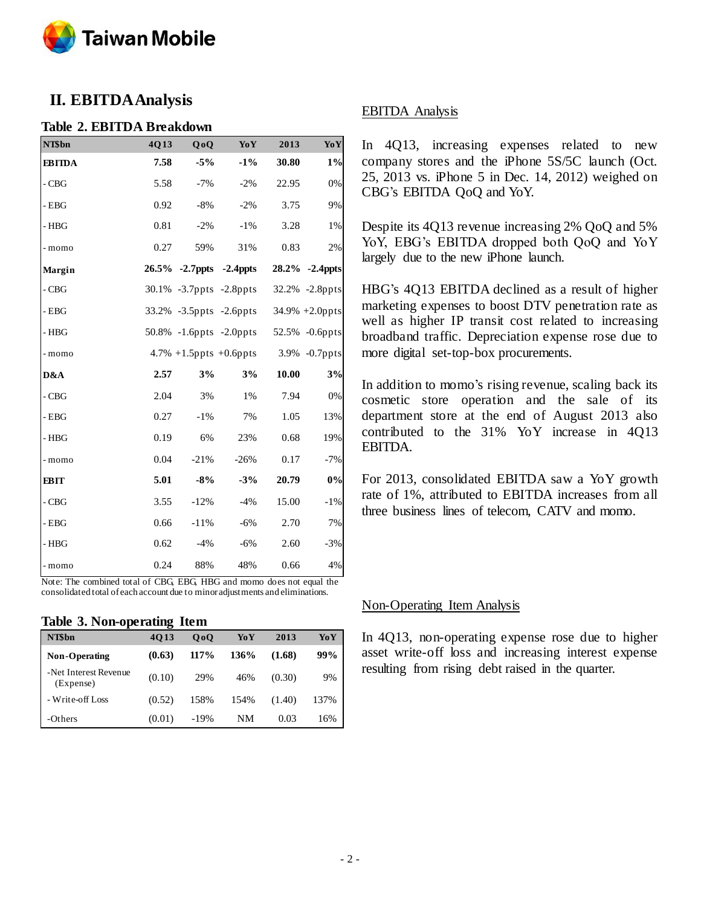

## **II. EBITDA Analysis**

#### **Table 2. EBITDA Breakdown**

| NT\$bn        | 4Q13 | QoQ    | YoY                            | 2013  | YoY            |
|---------------|------|--------|--------------------------------|-------|----------------|
| <b>EBITDA</b> | 7.58 | $-5%$  | $-1\%$                         | 30.80 | $1\%$          |
| $-CBG$        | 5.58 | $-7%$  | $-2%$                          | 22.95 | $0\%$          |
| $-$ EBG       | 0.92 | $-8%$  | $-2%$                          | 3.75  | 9%             |
| - HBG         | 0.81 | $-2%$  | $-1%$                          | 3.28  | 1%             |
| - momo        | 0.27 | 59%    | 31%                            | 0.83  | 2%             |
| Margin        |      |        | 26.5% -2.7ppts -2.4ppts        |       | 28.2% -2.4ppts |
| $-CBG$        |      |        | 30.1% -3.7ppts -2.8ppts        |       | 32.2% -2.8ppts |
| $-$ EBG       |      |        | 33.2% -3.5ppts -2.6ppts        |       | 34.9% +2.0ppts |
| - HBG         |      |        | $50.8\%$ -1.6 ppts -2.0 ppts   |       | 52.5% -0.6ppts |
| - momo        |      |        | $4.7\% + 1.5$ ppts $+0.6$ ppts |       | 3.9% -0.7ppts  |
| D&A           | 2.57 | 3%     | 3%                             | 10.00 | 3%             |
| $-CBG$        | 2.04 | 3%     | 1%                             | 7.94  | $0\%$          |
| $-EBG$        | 0.27 | $-1\%$ | 7%                             | 1.05  | 13%            |
| - HBG         | 0.19 | 6%     | 23%                            | 0.68  | 19%            |
| - momo        | 0.04 | $-21%$ | $-26%$                         | 0.17  | $-7%$          |
| <b>EBIT</b>   | 5.01 | $-8%$  | $-3%$                          | 20.79 | 0%             |
| $-CBG$        | 3.55 | $-12%$ | $-4%$                          | 15.00 | $-1\%$         |
| $-$ EBG       | 0.66 | $-11%$ | $-6%$                          | 2.70  | 7%             |
| - HBG         | 0.62 | $-4%$  | $-6%$                          | 2.60  | $-3%$          |
| - momo        | 0.24 | 88%    | 48%                            | 0.66  | 4%             |

Note: The combined total of CBG, EBG, HBG and momo does not equal the consolidated total of each account due to minor adjustments and eliminations.

#### **Table 3. Non-operating Item**

| NT\$bn                             | 4013   | 0 <sub>0</sub> | YoY  | 2013   | YoY  |
|------------------------------------|--------|----------------|------|--------|------|
| Non-Operating                      | (0.63) | 117%           | 136% | (1.68) | 99%  |
| -Net Interest Revenue<br>(Expense) | (0.10) | 29%            | 46%  | (0.30) | 9%   |
| - Write-off Loss                   | (0.52) | 158%           | 154% | (1.40) | 137% |
| -Others                            | (0.01) | $-19%$         | NΜ   | 0.03   | 16%  |

#### EBITDA Analysis

In 4Q13, increasing expenses related to new company stores and the iPhone 5S/5C launch (Oct. 25, 2013 vs. iPhone 5 in Dec. 14, 2012) weighed on CBG's EBITDA QoQ and YoY.

Despite its 4Q13 revenue increasing 2% QoQ and 5% YoY, EBG's EBITDA dropped both QoQ and YoY largely due to the new iPhone launch.

HBG's 4Q13 EBITDA declined as a result of higher marketing expenses to boost DTV penetration rate as well as higher IP transit cost related to increasing broadband traffic. Depreciation expense rose due to more digital set-top-box procurements.

In addition to momo's rising revenue, scaling back its cosmetic store operation and the sale of its department store at the end of August 2013 also contributed to the 31% YoY increase in 4Q13 EBITDA.

For 2013, consolidated EBITDA saw a YoY growth rate of 1%, attributed to EBITDA increases from all three business lines of telecom, CATV and momo.

#### Non-Operating Item Analysis

In 4Q13, non-operating expense rose due to higher asset write-off loss and increasing interest expense resulting from rising debt raised in the quarter.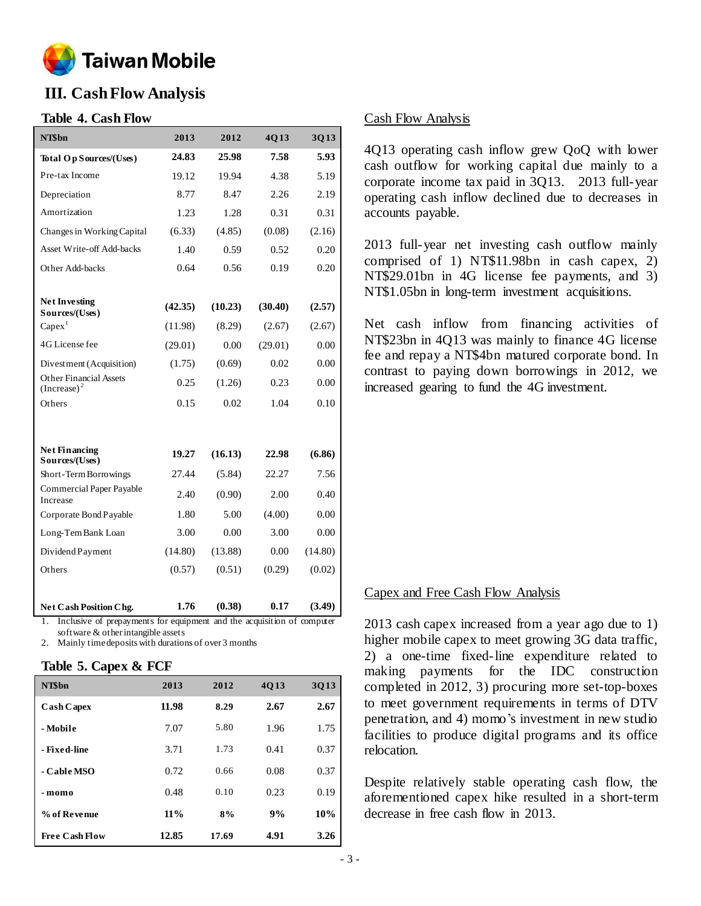

## **III. Cash Flow Analysis**

## **Table 4. Cash Flow**

| NT\$bn                                          | 2013    | 2012    | 4Q13    | 3Q13    |
|-------------------------------------------------|---------|---------|---------|---------|
| Total Op Sources/(Uses)                         | 24.83   | 25.98   | 7.58    | 5.93    |
| Pre-tax Income                                  | 19.12   | 19.94   | 4.38    | 5.19    |
| Depreciation                                    | 8.77    | 8.47    | 2.26    | 2.19    |
| Amortization                                    | 1.23    | 1.28    | 0.31    | 0.31    |
| Changes in Working Capital                      | (6.33)  | (4.85)  | (0.08)  | (2.16)  |
| Asset Write-off Add-backs                       | 1.40    | 0.59    | 0.52    | 0.20    |
| Other Add-backs                                 | 0.64    | 0.56    | 0.19    | 0.20    |
|                                                 |         |         |         |         |
| Net Investing<br>Sources/(Uses)                 | (42.35) | (10.23) | (30.40) | (2.57)  |
| $Capex$ <sup>1</sup>                            | (11.98) | (8.29)  | (2.67)  | (2.67)  |
| 4G License fee                                  | (29.01) | 0.00    | (29.01) | 0.00    |
| Divestment (Acquisition)                        | (1.75)  | (0.69)  | 0.02    | 0.00    |
| <b>Other Financial Assets</b><br>$(Increase)^2$ | 0.25    | (1.26)  | 0.23    | 0.00    |
| Others                                          | 0.15    | 0.02    | 1.04    | 0.10    |
|                                                 |         |         |         |         |
| <b>Net Financing</b><br>Sources/(Uses)          | 19.27   | (16.13) | 22.98   | (6.86)  |
| Short-Term Borrowings                           | 27.44   | (5.84)  | 22.27   | 7.56    |
| <b>Commercial Paper Payable</b><br>Increase     | 2.40    | (0.90)  | 2.00    | 0.40    |
| Corporate Bond Payable                          | 1.80    | 5.00    | (4.00)  | 0.00    |
| Long-Tern Bank Loan                             | 3.00    | 0.00    | 3.00    | 0.00    |
| Dividend Payment                                | (14.80) | (13.88) | 0.00    | (14.80) |
| Others                                          | (0.57)  | (0.51)  | (0.29)  | (0.02)  |
|                                                 |         |         |         |         |
| Net Cash Position Chg.                          | 1.76    | (0.38)  | 0.17    | (3.49)  |

1. Inclusive of prepayments for equipment and the acquisition of computer software & other intangible assets

Mainly time deposits with durations of over 3 months

#### **Table 5. Capex & FCF**

| NT\$bn                | 2013   | 2012  | 4013 | 3013 |
|-----------------------|--------|-------|------|------|
| <b>Cash Capex</b>     | 11.98  | 8.29  | 2.67 | 2.67 |
| - Mobile              | 7.07   | 5.80  | 1.96 | 1.75 |
| - Fixed-line          | 3.71   | 1.73  | 0.41 | 0.37 |
| - Cable MSO           | 0.72   | 0.66  | 0.08 | 0.37 |
| - momo                | 0.48   | 0.10  | 0.23 | 0.19 |
| % of Revenue          | $11\%$ | 8%    | 9%   | 10%  |
| <b>Free Cash Flow</b> | 12.85  | 17.69 | 4.91 | 3.26 |

### Cash Flow Analysis

4Q13 operating cash inflow grew QoQ with lower cash outflow for working capital due mainly to a corporate income tax paid in 3Q13. 2013 full-year operating cash inflow declined due to decreases in accounts payable.

2013 full-year net investing cash outflow mainly comprised of 1) NT\$11.98bn in cash capex, 2) NT\$29.01bn in 4G license fee payments, and 3) NT\$1.05bn in long-term investment acquisitions.

Net cash inflow from financing activities of NT\$23bn in 4Q13 was mainly to finance 4G license fee and repay a NT\$4bn matured corporate bond. In contrast to paying down borrowings in 2012, we increased gearing to fund the 4G investment.

#### Capex and Free Cash Flow Analysis

2013 cash capex increased from a year ago due to 1) higher mobile capex to meet growing 3G data traffic, 2) a one-time fixed-line expenditure related to making payments for the IDC construction completed in 2012, 3) procuring more set-top-boxes to meet government requirements in terms of DTV penetration, and 4) momo's investment in new studio facilities to produce digital programs and its office relocation.

Despite relatively stable operating cash flow, the aforementioned capex hike resulted in a short-term decrease in free cash flow in 2013.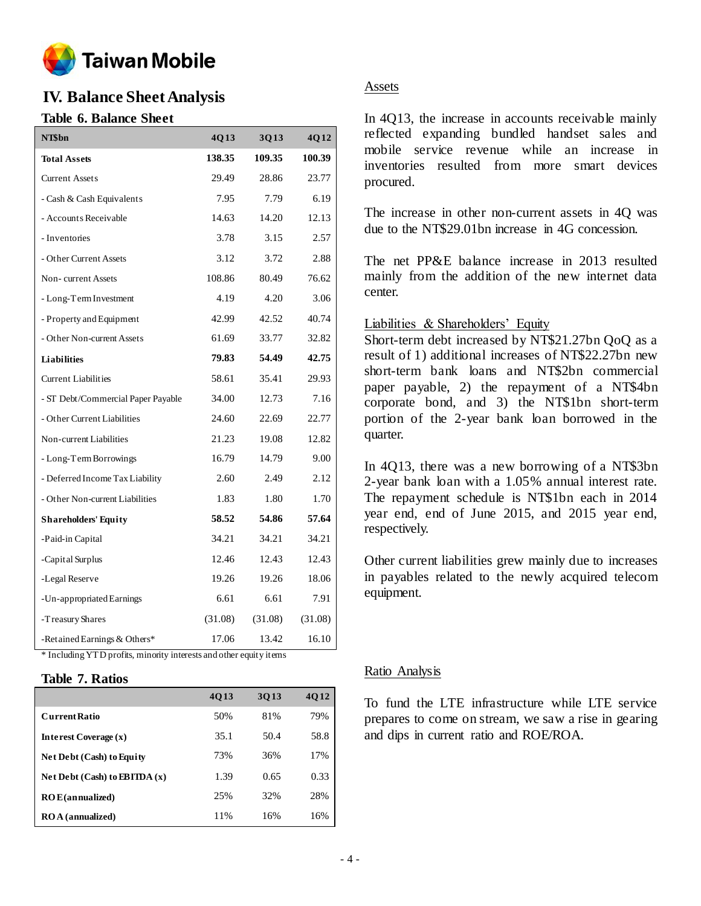

## **IV. Balance Sheet Analysis**

## **Table 6. Balance Sheet**

| NT\$bn                                                             | 4Q13    | 3Q13    | 4Q12    |
|--------------------------------------------------------------------|---------|---------|---------|
| <b>Total Assets</b>                                                | 138.35  | 109.35  | 100.39  |
| <b>Current Assets</b>                                              | 29.49   | 28.86   | 23.77   |
| - Cash & Cash Equivalents                                          | 7.95    | 7.79    | 6.19    |
| - Accounts Receivable                                              | 14.63   | 14.20   | 12.13   |
| - Inventories                                                      | 3.78    | 3.15    | 2.57    |
| - Other Current Assets                                             | 3.12    | 3.72    | 2.88    |
| Non-current Assets                                                 | 108.86  | 80.49   | 76.62   |
| - Long-Term Investment                                             | 4.19    | 4.20    | 3.06    |
| - Property and Equipment                                           | 42.99   | 42.52   | 40.74   |
| - Other Non-current Assets                                         | 61.69   | 33.77   | 32.82   |
| <b>Liabilities</b>                                                 | 79.83   | 54.49   | 42.75   |
| <b>Current Liabilities</b>                                         | 58.61   | 35.41   | 29.93   |
| - ST Debt/Commercial Paper Payable                                 | 34.00   | 12.73   | 7.16    |
| - Other Current Liabilities                                        | 24.60   | 22.69   | 22.77   |
| Non-current Liabilities                                            | 21.23   | 19.08   | 12.82   |
| - Long-Term Borrowings                                             | 16.79   | 14.79   | 9.00    |
| - Deferred Income Tax Liability                                    | 2.60    | 2.49    | 2.12    |
| - Other Non-current Liabilities                                    | 1.83    | 1.80    | 1.70    |
| <b>Shareholders' Equity</b>                                        | 58.52   | 54.86   | 57.64   |
| -Paid-in Capital                                                   | 34.21   | 34.21   | 34.21   |
| -Capital Surplus                                                   | 12.46   | 12.43   | 12.43   |
| -Legal Reserve                                                     | 19.26   | 19.26   | 18.06   |
| -Un-appropriated Earnings                                          | 6.61    | 6.61    | 7.91    |
| -Treasury Shares                                                   | (31.08) | (31.08) | (31.08) |
| -Retained Earnings & Others*                                       | 17.06   | 13.42   | 16.10   |
| * Including YTD profits, minority interests and other equity items |         |         |         |

## **Table 7. Ratios**

|                                  | 4013 | 3013 | 4012 |
|----------------------------------|------|------|------|
| <b>Current Ratio</b>             | 50%  | 81%  | 79%  |
| Interest Coverage $(x)$          | 35.1 | 50.4 | 58.8 |
| <b>Net Debt (Cash) to Equity</b> | 73%  | 36%  | 17%  |
| Net Debt (Cash) to EBITDA $(x)$  | 1.39 | 0.65 | 0.33 |
| ROE(annualized)                  | 25%  | 32%  | 28%  |
| <b>ROA</b> (annualized)          | 11%  | 16%  | 16%  |

## Assets

In 4Q13, the increase in accounts receivable mainly reflected expanding bundled handset sales and mobile service revenue while an increase in inventories resulted from more smart devices procured.

The increase in other non-current assets in 4Q was due to the NT\$29.01bn increase in 4G concession.

The net PP&E balance increase in 2013 resulted mainly from the addition of the new internet data center.

## Liabilities & Shareholders' Equity

Short-term debt increased by NT\$21.27bn QoQ as a result of 1) additional increases of NT\$22.27bn new short-term bank loans and NT\$2bn commercial paper payable, 2) the repayment of a NT\$4bn corporate bond, and 3) the NT\$1bn short-term portion of the 2-year bank loan borrowed in the quarter.

In 4Q13, there was a new borrowing of a NT\$3bn 2-year bank loan with a 1.05% annual interest rate. The repayment schedule is NT\$1bn each in 2014 year end, end of June 2015, and 2015 year end, respectively.

Other current liabilities grew mainly due to increases in payables related to the newly acquired telecom equipment.

## Ratio Analysis

To fund the LTE infrastructure while LTE service prepares to come on stream, we saw a rise in gearing and dips in current ratio and ROE/ROA.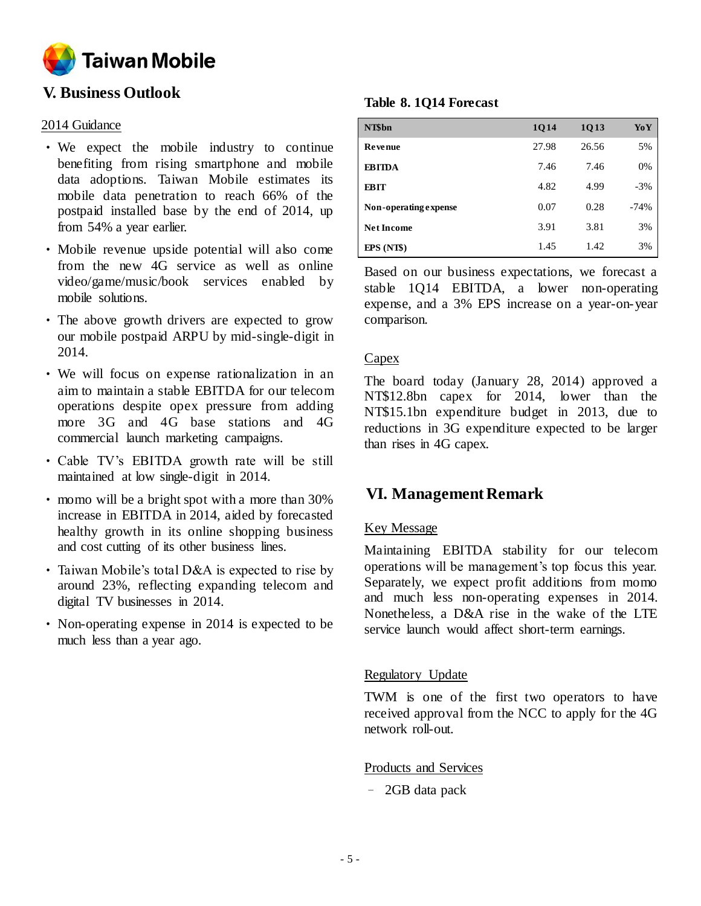

## **V. Business Outlook**

## 2014 Guidance

- We expect the mobile industry to continue benefiting from rising smartphone and mobile data adoptions. Taiwan Mobile estimates its mobile data penetration to reach 66% of the postpaid installed base by the end of 2014, up from 54% a year earlier.
- Mobile revenue upside potential will also come from the new 4G service as well as online video/game/music/book services enabled by mobile solutions.
- The above growth drivers are expected to grow our mobile postpaid ARPU by mid-single-digit in 2014.
- We will focus on expense rationalization in an aim to maintain a stable EBITDA for our telecom operations despite opex pressure from adding more 3G and 4G base stations and 4G commercial launch marketing campaigns.
- Cable TV's EBITDA growth rate will be still maintained at low single-digit in 2014.
- momo will be a bright spot with a more than 30% increase in EBITDA in 2014, aided by forecasted healthy growth in its online shopping business and cost cutting of its other business lines.
- Taiwan Mobile's total D&A is expected to rise by around 23%, reflecting expanding telecom and digital TV businesses in 2014.
- Non-operating expense in 2014 is expected to be much less than a year ago.

## **Table 8. 1Q14 Forecast**

| NT\$bn                | 1Q14  | 1Q13  | YoY    |
|-----------------------|-------|-------|--------|
| <b>Revenue</b>        | 27.98 | 26.56 | 5%     |
| <b>EBITDA</b>         | 7.46  | 7.46  | 0%     |
| <b>EBIT</b>           | 4.82  | 4.99  | $-3\%$ |
| Non-operating expense | 0.07  | 0.28  | $-74%$ |
| <b>Net Income</b>     | 3.91  | 3.81  | 3%     |
| $EPS(NT\$             | 1.45  | 1.42  | 3%     |

Based on our business expectations, we forecast a stable 1Q14 EBITDA, a lower non-operating expense, and a 3% EPS increase on a year-on-year comparison.

## Capex

The board today (January 28, 2014) approved a NT\$12.8bn capex for 2014, lower than the NT\$15.1bn expenditure budget in 2013, due to reductions in 3G expenditure expected to be larger than rises in 4G capex.

## **VI. Management Remark**

## Key Message

Maintaining EBITDA stability for our telecom operations will be management's top focus this year. Separately, we expect profit additions from momo and much less non-operating expenses in 2014. Nonetheless, a D&A rise in the wake of the LTE service launch would affect short-term earnings.

## Regulatory Update

TWM is one of the first two operators to have received approval from the NCC to apply for the 4G network roll-out.

## Products and Services

– 2GB data pack